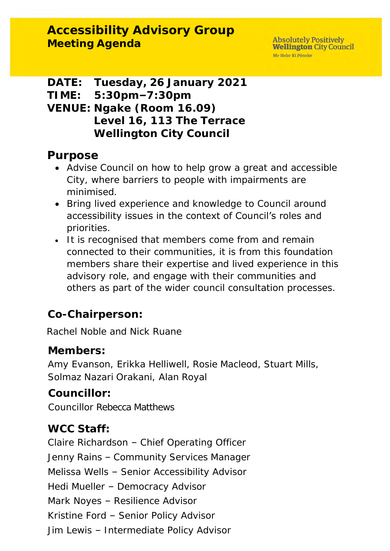**DATE: Tuesday, 26 January 2021 TIME: 5:30pm–7:30pm VENUE: Ngake (Room 16.09) Level 16, 113 The Terrace Wellington City Council**

## **Purpose**

- Advise Council on how to help grow a great and accessible City, where barriers to people with impairments are minimised.
- Bring lived experience and knowledge to Council around accessibility issues in the context of Council's roles and priorities.
- It is recognised that members come from and remain connected to their communities, it is from this foundation members share their expertise and lived experience in this advisory role, and engage with their communities and others as part of the wider council consultation processes.

**Co-Chairperson:**

Rachel Noble and Nick Ruane

**Members:**

Amy Evanson, Erikka Helliwell, Rosie Macleod, Stuart Mills, Solmaz Nazari Orakani, Alan Royal

**Councillor:**

Councillor Rebecca Matthews

## **WCC Staff:**

Claire Richardson – Chief Operating Officer Jenny Rains – Community Services Manager Melissa Wells – Senior Accessibility Advisor Hedi Mueller – Democracy Advisor Mark Noyes – Resilience Advisor Kristine Ford – Senior Policy Advisor Jim Lewis – Intermediate Policy Advisor